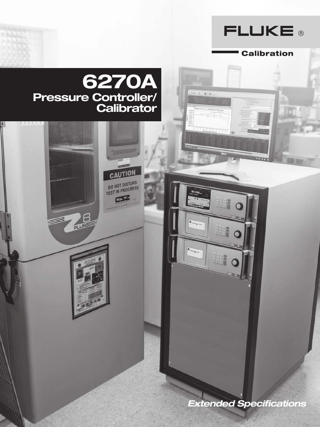

**Calibration** 

# 6270A \*\* . 0 / 图工程 Pressure Controller/ **Calibrator**  $+$ CAUTION DO NOT DISTURB<br>TEST IN PROGRESS  $CSD$ **PLUBE**  $\Delta$ A *Extended Specifications*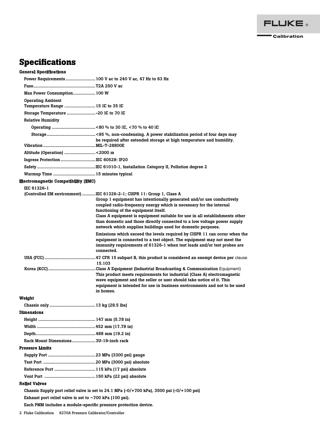

## **Specifications**

General Specifications

| Max Power Consumption 100 W                                     |                                                                                                                                                                                                                                                                                                                                                                                                                                                                                         |
|-----------------------------------------------------------------|-----------------------------------------------------------------------------------------------------------------------------------------------------------------------------------------------------------------------------------------------------------------------------------------------------------------------------------------------------------------------------------------------------------------------------------------------------------------------------------------|
| <b>Operating Ambient</b>                                        |                                                                                                                                                                                                                                                                                                                                                                                                                                                                                         |
| Temperature Range  15 C to 35 C                                 |                                                                                                                                                                                                                                                                                                                                                                                                                                                                                         |
|                                                                 |                                                                                                                                                                                                                                                                                                                                                                                                                                                                                         |
| <b>Relative Humidity</b>                                        |                                                                                                                                                                                                                                                                                                                                                                                                                                                                                         |
|                                                                 |                                                                                                                                                                                                                                                                                                                                                                                                                                                                                         |
|                                                                 | be required after extended storage at high temperature and humidity.                                                                                                                                                                                                                                                                                                                                                                                                                    |
| Altitude (Operation) <2000 m                                    |                                                                                                                                                                                                                                                                                                                                                                                                                                                                                         |
| Ingress Protection IEC 60529: IP20                              |                                                                                                                                                                                                                                                                                                                                                                                                                                                                                         |
|                                                                 |                                                                                                                                                                                                                                                                                                                                                                                                                                                                                         |
|                                                                 |                                                                                                                                                                                                                                                                                                                                                                                                                                                                                         |
| <b>Electromagnetic Compatibility (EMC)</b>                      |                                                                                                                                                                                                                                                                                                                                                                                                                                                                                         |
| IEC 61326-1                                                     |                                                                                                                                                                                                                                                                                                                                                                                                                                                                                         |
|                                                                 | (Controlled EM environment) IEC 61326-2-1; CISPR 11: Group 1, Class A<br>Group 1 equipment has intentionally generated and/or use conductively<br>coupled radio-frequency energy which is necessary for the internal<br>functioning of the equipment itself.<br>Class A equipment is equipment suitable for use in all establishments other<br>than domestic and those directly connected to a low voltage power supply<br>network which supplies buildings used for domestic purposes. |
|                                                                 | Emissions which exceed the levels required by CISPR 11 can occur when the<br>equipment is connected to a test object. The equipment may not meet the<br>immunity requirements of 61326-1 when test leads and/or test probes are<br>connected.                                                                                                                                                                                                                                           |
|                                                                 | 15.103                                                                                                                                                                                                                                                                                                                                                                                                                                                                                  |
|                                                                 | This product meets requirements for industrial (Class A) electromagnetic<br>wave equipment and the seller or user should take notice of it. This<br>equipment is intended for use in business environments and not to be used<br>in homes.                                                                                                                                                                                                                                              |
| Weight                                                          |                                                                                                                                                                                                                                                                                                                                                                                                                                                                                         |
|                                                                 |                                                                                                                                                                                                                                                                                                                                                                                                                                                                                         |
| Dimensions                                                      |                                                                                                                                                                                                                                                                                                                                                                                                                                                                                         |
|                                                                 |                                                                                                                                                                                                                                                                                                                                                                                                                                                                                         |
|                                                                 |                                                                                                                                                                                                                                                                                                                                                                                                                                                                                         |
|                                                                 |                                                                                                                                                                                                                                                                                                                                                                                                                                                                                         |
| Rack Mount Dimensions3U-19-inch rack                            |                                                                                                                                                                                                                                                                                                                                                                                                                                                                                         |
| Pressure Limits                                                 |                                                                                                                                                                                                                                                                                                                                                                                                                                                                                         |
|                                                                 |                                                                                                                                                                                                                                                                                                                                                                                                                                                                                         |
|                                                                 |                                                                                                                                                                                                                                                                                                                                                                                                                                                                                         |
|                                                                 |                                                                                                                                                                                                                                                                                                                                                                                                                                                                                         |
|                                                                 |                                                                                                                                                                                                                                                                                                                                                                                                                                                                                         |
| Relief Valves                                                   |                                                                                                                                                                                                                                                                                                                                                                                                                                                                                         |
|                                                                 | Chassis Supply port relief valve is set to 24.1 MPa $(-0/+700$ kPa), 3500 psi $(-0/+100$ psi)                                                                                                                                                                                                                                                                                                                                                                                           |
| Exhaust port relief valve is set to $\sim$ 700 kPa (100 psi).   |                                                                                                                                                                                                                                                                                                                                                                                                                                                                                         |
| Each PMM includes a module-specific pressure protection device. |                                                                                                                                                                                                                                                                                                                                                                                                                                                                                         |

2 Fluke Calibration 6270A Pressure Calibrator/Controller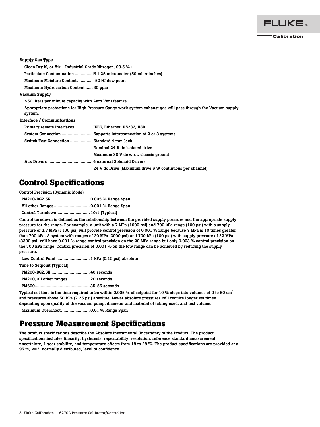

#### Supply Gas Type

Clean Dry  $N_2$  or Air – Industrial Grade Nitrogen, 99.5 %+ Particulate Contamination ............... 1.25 micrometer (50 microinches) Maximum Moisture Content............. -50 C dew point Maximum Hydrocarbon Content ...... 30 ppm Vacuum Supply >50 liters per minute capacity with Auto Vent feature

Appropriate protections for High Pressure Gauge work system exhaust gas will pass through the Vacuum supply system.

#### Interface / Communications

| Primary remote Interfaces  IEEE, Ethernet, RS232, USB |                                                          |  |  |
|-------------------------------------------------------|----------------------------------------------------------|--|--|
|                                                       |                                                          |  |  |
| Switch Test Connection  Standard 4 mm Jack:           |                                                          |  |  |
|                                                       | Nominal 24 V dc isolated drive                           |  |  |
|                                                       | Maximum 30 V dc w.r.t. chassis ground                    |  |  |
|                                                       |                                                          |  |  |
|                                                       | 24 V dc Drive (Maximum drive 6 W continuous per channel) |  |  |

## **Control Specifications**

| <b>Control Precision (Dynamic Mode)</b> |  |
|-----------------------------------------|--|
|                                         |  |
|                                         |  |
|                                         |  |

Control turndown is defined as the relationship between the provided supply pressure and the appropriate supply pressure for the range. For example, a unit with a 7 MPa (1000 psi) and 700 kPa range (100 psi) with a supply pressure of 7.7 MPa (1100 psi) will provide control precision of 0.001 % range because 7 MPa is 10 times greater than 700 kPa. A system with ranges of 20 MPa (3000 psi) and 700 kPa (100 psi) with supply pressure of 22 MPa (3300 psi) will have 0.001 % range control precision on the 20 MPa range but only 0.003 % control precision on the 700 kPa range. Control precision of 0.001 % on the low range can be achieved by reducing the supply pressure.

Low Control Point ............................ 1 kPa (0.15 psi) absolute

| Time to Setpoint (Typical)          |  |
|-------------------------------------|--|
|                                     |  |
| PM200, all other ranges  20 seconds |  |
|                                     |  |

Typical set time is the time required to be within 0.005 % of setpoint for 10 % steps into volumes of 0 to 50  $cm<sup>3</sup>$ and pressures above 50 kPa (7.25 psi) absolute. Lower absolute pressures will require longer set times depending upon quality of the vacuum pump, diameter and material of tubing used, and test volume.

Maximum Overshoot........................ 0.01 % Range Span

## **Pressure Measurement Specifications**

The product specifications describe the Absolute Instrumental Uncertainty of the Product. The product specifications includes linearity, hysteresis, repeatability, resolution, reference standard measurement uncertainty, 1 year stability, and temperature effects from 18 to 28 °C. The product specifications are provided at a 95 %, k=2, normally distributed, level of confidence.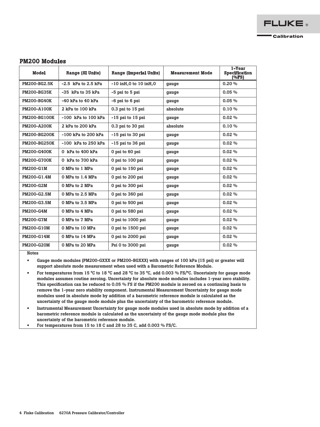## PM200 Modules

| <b>Model</b>        | <b>Range (SI Units)</b> | <b>Range (Imperial Units)</b>                   | <b>Measurement Mode</b> | 1-Year<br><b>Specification</b><br>(%FS) |
|---------------------|-------------------------|-------------------------------------------------|-------------------------|-----------------------------------------|
| <b>PM200-BG2.5K</b> | $-2.5$ kPa to 2.5 kPa   | -10 inH <sub>2</sub> 0 to 10 inH <sub>2</sub> 0 | gauge                   | 0.20%                                   |
| <b>PM200-BG35K</b>  | -35 kPa to 35 kPa       | -5 psi to 5 psi                                 | gauge                   | 0.05%                                   |
| <b>PM200-BG40K</b>  | $-40$ kPa to $40$ kPa   | -6 psi to 6 psi                                 | gauge                   | 0.05%                                   |
| PM200-A100K         | 2 kPa to 100 kPa        | 0.3 psi to 15 psi                               | absolute                | 0.10%                                   |
| PM200-BG100K        | $-100$ kPa to $100$ kPa | $-15$ psi to $15$ psi                           | gauge                   | 0.02%                                   |
| <b>PM200-A200K</b>  | 2 kPa to 200 kPa        | 0.3 psi to 30 psi                               | absolute                | 0.10%                                   |
| <b>PM200-BG200K</b> | $-100$ kPa to 200 kPa   | $-15$ psi to 30 psi                             | gauge                   | 0.02%                                   |
| <b>PM200-BG250K</b> | $-100$ kPa to 250 kPa   | $-15$ psi to 36 psi                             | gauge                   | 0.02%                                   |
| <b>PM200-G400K</b>  | 0 kPa to 400 kPa        | 0 psi to 60 psi                                 | gauge                   | 0.02%                                   |
| <b>PM200-G700K</b>  | 0 kPa to 700 kPa        | 0 psi to 100 psi                                | gauge                   | 0.02%                                   |
| <b>PM200-G1M</b>    | 0 MPa to 1 MPa          | 0 psi to 150 psi                                | gauge                   | 0.02%                                   |
| PM200-G1.4M         | 0 MPa to 1.4 MPa        | 0 psi to 200 psi                                | gauge                   | 0.02%                                   |
| <b>PM200-G2M</b>    | 0 MPa to 2 MPa          | 0 psi to 300 psi                                | gauge                   | $0.02\%$                                |
| PM200-G2.5M         | 0 MPa to 2.5 MPa        | 0 psi to 360 psi                                | gauge                   | 0.02%                                   |
| PM200-G3.5M         | 0 MPa to 3.5 MPa        | 0 psi to 500 psi                                | gauge                   | 0.02%                                   |
| <b>PM200-G4M</b>    | 0 MPa to 4 MPa          | 0 psi to 580 psi                                | gauge                   | 0.02%                                   |
| <b>PM200-G7M</b>    | 0 MPa to 7 MPa          | 0 psi to 1000 psi                               | gauge                   | $0.02\%$                                |
| <b>PM200-G10M</b>   | 0 MPa to 10 MPa         | 0 psi to 1500 psi                               | gauge                   | 0.02%                                   |
| PM200-G14M          | 0 MPa to 14 MPa         | 0 psi to 2000 psi                               | gauge                   | 0.02%                                   |
| <b>PM200-G20M</b>   | 0 MPa to 20 MPa         | Psi 0 to 3000 psi                               | gauge                   | 0.02%                                   |

Notes

• Gauge mode modules (PM200-GXXX or PM200-BGXXX) with ranges of 100 kPa (15 psi) or greater will support absolute mode measurement when used with a Barometric Reference Module.

- For temperatures from 15 °C to 18 °C and 28 °C to 35 °C, add 0.003 % FS/°C. Uncertainty for gauge mode modules assumes routine zeroing. Uncertainty for absolute mode modules includes 1-year zero stability. This specification can be reduced to 0.05 % FS if the PM200 module is zeroed on a continuing basis to remove the 1-year zero stability component. Instrumental Measurement Uncertainty for gauge mode modules used in absolute mode by addition of a barometric reference module is calculated as the uncertainty of the gauge mode module plus the uncertainty of the barometric reference module.
- Instrumental Measurement Uncertainty for gauge mode modules used in absolute mode by addition of a barometric reference module is calculated as the uncertainty of the gauge mode module plus the uncertainty of the barometric reference module.
- For temperatures from 15 to 18 C and 28 to 35 C, add 0.003 % FS/C.